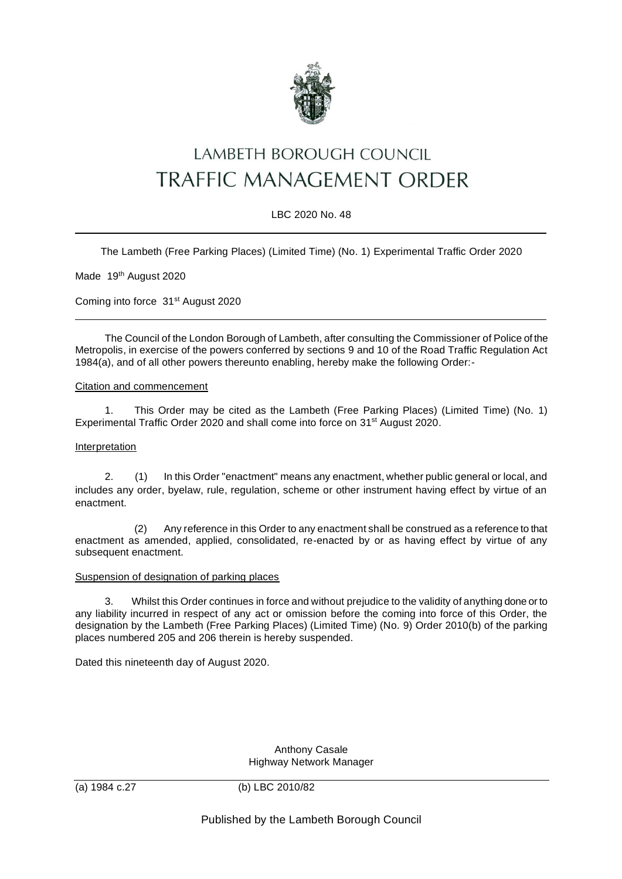

# LAMBETH BOROUGH COUNCIL TRAFFIC MANAGEMENT ORDER

## LBC 2020 No. 48

The Lambeth (Free Parking Places) (Limited Time) (No. 1) Experimental Traffic Order 2020

Made 19<sup>th</sup> August 2020

Coming into force 31<sup>st</sup> August 2020

The Council of the London Borough of Lambeth, after consulting the Commissioner of Police of the Metropolis, in exercise of the powers conferred by sections 9 and 10 of the Road Traffic Regulation Act 1984(a), and of all other powers thereunto enabling, hereby make the following Order:-

### Citation and commencement

1. This Order may be cited as the Lambeth (Free Parking Places) (Limited Time) (No. 1) Experimental Traffic Order 2020 and shall come into force on 31<sup>st</sup> August 2020.

## Interpretation

2. (1) In this Order "enactment" means any enactment, whether public general or local, and includes any order, byelaw, rule, regulation, scheme or other instrument having effect by virtue of an enactment.

(2) Any reference in this Order to any enactment shall be construed as a reference to that enactment as amended, applied, consolidated, re-enacted by or as having effect by virtue of any subsequent enactment.

#### Suspension of designation of parking places

3. Whilst this Order continues in force and without prejudice to the validity of anything done or to any liability incurred in respect of any act or omission before the coming into force of this Order, the designation by the Lambeth (Free Parking Places) (Limited Time) (No. 9) Order 2010(b) of the parking places numbered 205 and 206 therein is hereby suspended.

Dated this nineteenth day of August 2020.

Anthony Casale Highway Network Manager

(a) 1984 c.27 (b) LBC 2010/82